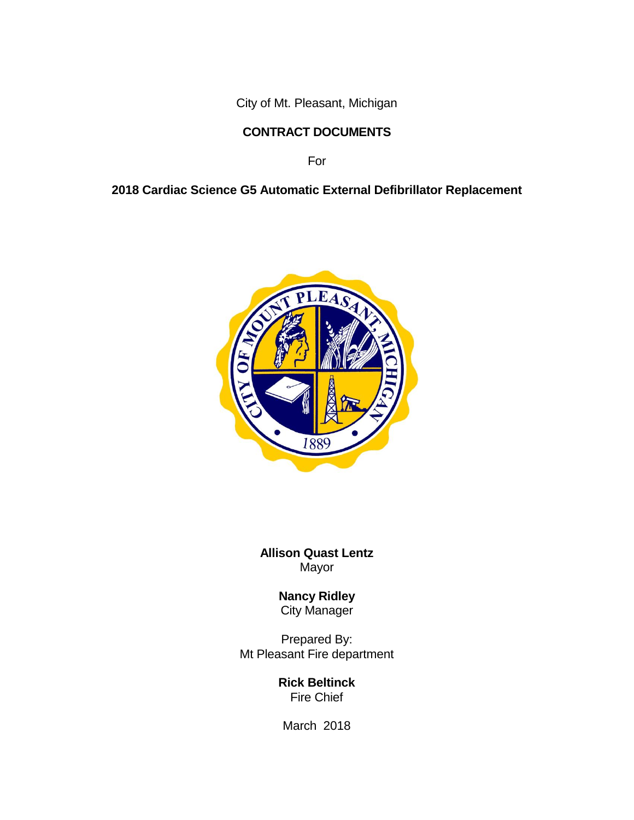City of Mt. Pleasant, Michigan

## **CONTRACT DOCUMENTS**

For

## **2018 Cardiac Science G5 Automatic External Defibrillator Replacement**



**Allison Quast Lentz**  Mayor

> **Nancy Ridley** City Manager

Prepared By: Mt Pleasant Fire department

> **Rick Beltinck** Fire Chief

March 2018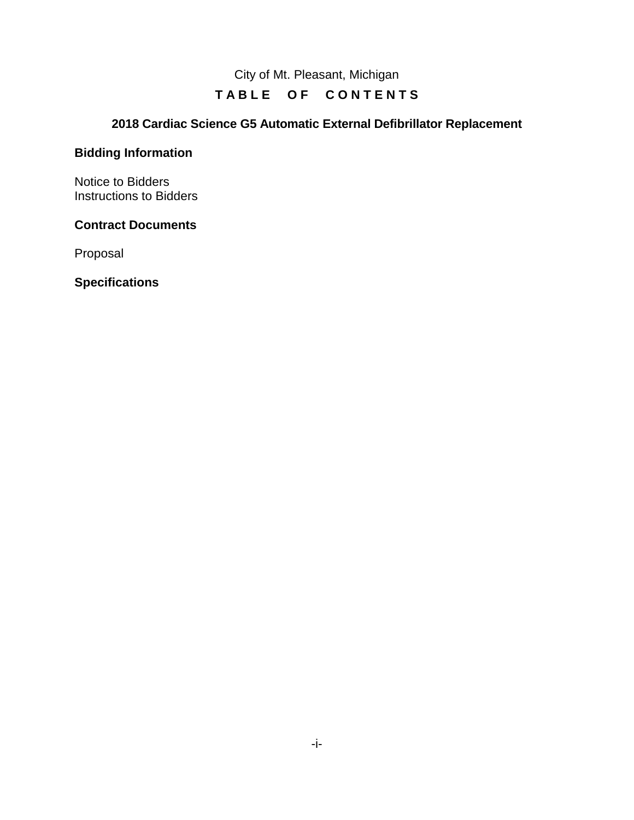City of Mt. Pleasant, Michigan

## TABLE OF CONTENTS

## **2018 Cardiac Science G5 Automatic External Defibrillator Replacement**

#### **Bidding Information**

Notice to Bidders Instructions to Bidders

#### **Contract Documents**

Proposal

**Specifications**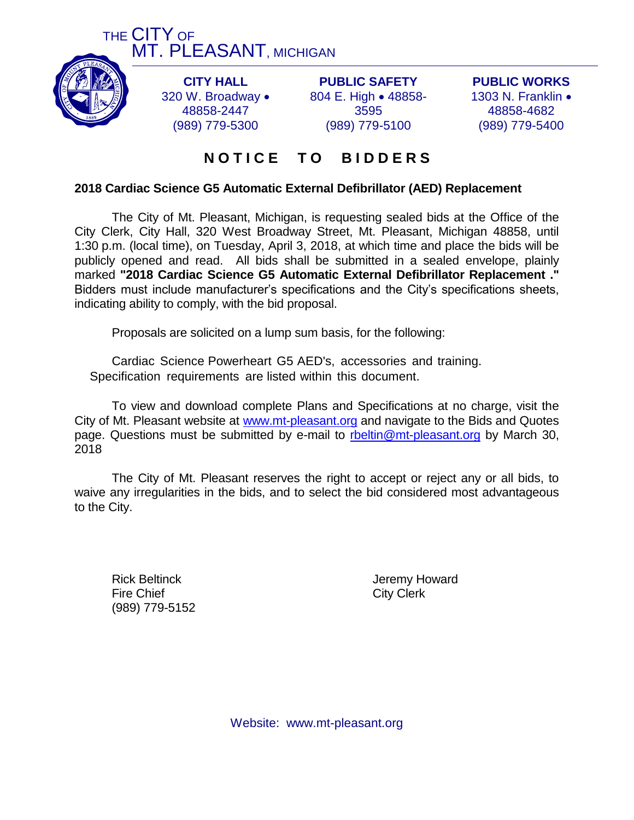



**CITY HALL** 320 W. Broadway . 48858-2447 (989) 779-5300

**PUBLIC SAFETY** 804 E. High . 48858-3595 (989) 779-5100

**PUBLIC WORKS** 1303 N. Franklin • 48858-4682 (989) 779-5400

## **N O T I C E T O B I D D E R S**

#### **2018 Cardiac Science G5 Automatic External Defibrillator (AED) Replacement**

The City of Mt. Pleasant, Michigan, is requesting sealed bids at the Office of the City Clerk, City Hall, 320 West Broadway Street, Mt. Pleasant, Michigan 48858, until 1:30 p.m. (local time), on Tuesday, April 3, 2018, at which time and place the bids will be publicly opened and read. All bids shall be submitted in a sealed envelope, plainly marked **"2018 Cardiac Science G5 Automatic External Defibrillator Replacement ."** Bidders must include manufacturer's specifications and the City's specifications sheets, indicating ability to comply, with the bid proposal.

Proposals are solicited on a lump sum basis, for the following:

Cardiac Science Powerheart G5 AED's, accessories and training. Specification requirements are listed within this document.

To view and download complete Plans and Specifications at no charge, visit the City of Mt. Pleasant website at [www.mt-pleasant.org](http://www.mt-pleasant.org/) and navigate to the Bids and Quotes page. Questions must be submitted by e-mail to [rbeltin@mt-pleasant.org](mailto:rbeltin@mt-pleasant.org) by March 30, 2018

The City of Mt. Pleasant reserves the right to accept or reject any or all bids, to waive any irregularities in the bids, and to select the bid considered most advantageous to the City.

Fire Chief City Clerk (989) 779-5152

Rick Beltinck **Internal Contract Contract Contract Contract Contract Contract Contract Contract Contract Contract Contract Contract Contract Contract Contract Contract Contract Contract Contract Contract Contract Contract** 

Website: www.mt-pleasant.org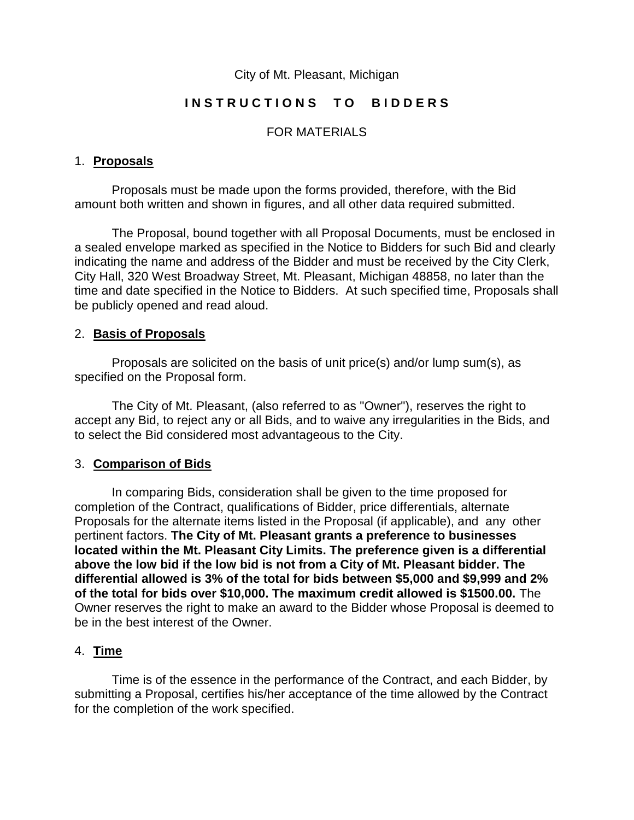#### City of Mt. Pleasant, Michigan

#### INSTRUCTIONS TO BIDDERS

#### FOR MATERIALS

#### 1. **Proposals**

Proposals must be made upon the forms provided, therefore, with the Bid amount both written and shown in figures, and all other data required submitted.

The Proposal, bound together with all Proposal Documents, must be enclosed in a sealed envelope marked as specified in the Notice to Bidders for such Bid and clearly indicating the name and address of the Bidder and must be received by the City Clerk, City Hall, 320 West Broadway Street, Mt. Pleasant, Michigan 48858, no later than the time and date specified in the Notice to Bidders. At such specified time, Proposals shall be publicly opened and read aloud.

#### 2. **Basis of Proposals**

Proposals are solicited on the basis of unit price(s) and/or lump sum(s), as specified on the Proposal form.

The City of Mt. Pleasant, (also referred to as "Owner"), reserves the right to accept any Bid, to reject any or all Bids, and to waive any irregularities in the Bids, and to select the Bid considered most advantageous to the City.

#### 3. **Comparison of Bids**

In comparing Bids, consideration shall be given to the time proposed for completion of the Contract, qualifications of Bidder, price differentials, alternate Proposals for the alternate items listed in the Proposal (if applicable), and any other pertinent factors. **The City of Mt. Pleasant grants a preference to businesses located within the Mt. Pleasant City Limits. The preference given is a differential above the low bid if the low bid is not from a City of Mt. Pleasant bidder. The differential allowed is 3% of the total for bids between \$5,000 and \$9,999 and 2% of the total for bids over \$10,000. The maximum credit allowed is \$1500.00.** The Owner reserves the right to make an award to the Bidder whose Proposal is deemed to be in the best interest of the Owner.

#### 4. **Time**

Time is of the essence in the performance of the Contract, and each Bidder, by submitting a Proposal, certifies his/her acceptance of the time allowed by the Contract for the completion of the work specified.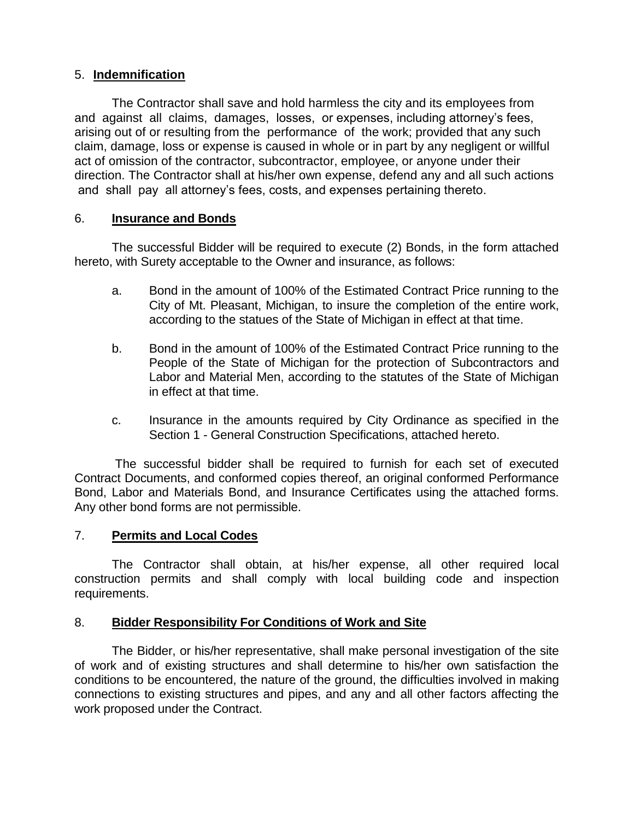#### 5. **Indemnification**

The Contractor shall save and hold harmless the city and its employees from and against all claims, damages, losses, or expenses, including attorney's fees, arising out of or resulting from the performance of the work; provided that any such claim, damage, loss or expense is caused in whole or in part by any negligent or willful act of omission of the contractor, subcontractor, employee, or anyone under their direction. The Contractor shall at his/her own expense, defend any and all such actions and shall pay all attorney's fees, costs, and expenses pertaining thereto.

#### 6. **Insurance and Bonds**

The successful Bidder will be required to execute (2) Bonds, in the form attached hereto, with Surety acceptable to the Owner and insurance, as follows:

- a. Bond in the amount of 100% of the Estimated Contract Price running to the City of Mt. Pleasant, Michigan, to insure the completion of the entire work, according to the statues of the State of Michigan in effect at that time.
- b. Bond in the amount of 100% of the Estimated Contract Price running to the People of the State of Michigan for the protection of Subcontractors and Labor and Material Men, according to the statutes of the State of Michigan in effect at that time.
- c. Insurance in the amounts required by City Ordinance as specified in the Section 1 - General Construction Specifications, attached hereto.

The successful bidder shall be required to furnish for each set of executed Contract Documents, and conformed copies thereof, an original conformed Performance Bond, Labor and Materials Bond, and Insurance Certificates using the attached forms. Any other bond forms are not permissible.

#### 7. **Permits and Local Codes**

The Contractor shall obtain, at his/her expense, all other required local construction permits and shall comply with local building code and inspection requirements.

## 8. **Bidder Responsibility For Conditions of Work and Site**

The Bidder, or his/her representative, shall make personal investigation of the site of work and of existing structures and shall determine to his/her own satisfaction the conditions to be encountered, the nature of the ground, the difficulties involved in making connections to existing structures and pipes, and any and all other factors affecting the work proposed under the Contract.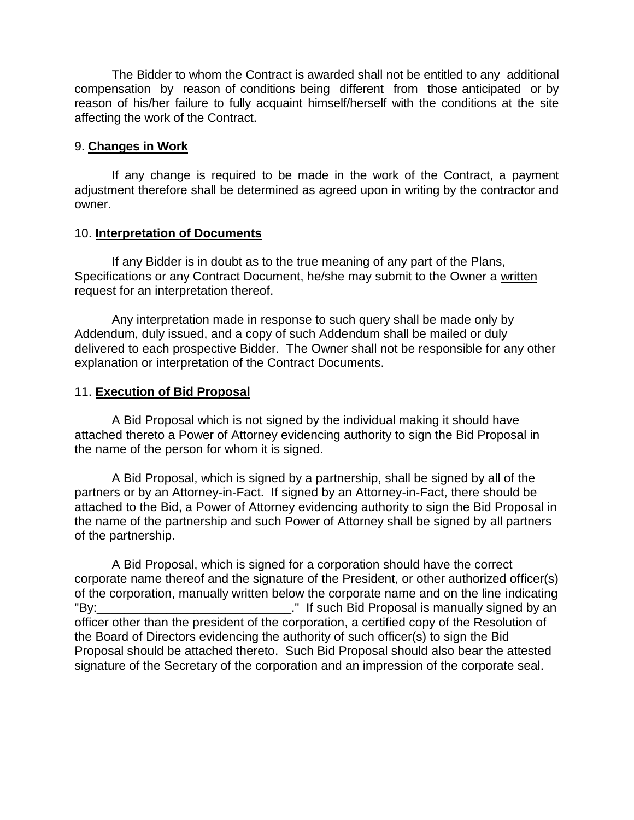The Bidder to whom the Contract is awarded shall not be entitled to any additional compensation by reason of conditions being different from those anticipated or by reason of his/her failure to fully acquaint himself/herself with the conditions at the site affecting the work of the Contract.

#### 9. **Changes in Work**

If any change is required to be made in the work of the Contract, a payment adjustment therefore shall be determined as agreed upon in writing by the contractor and owner.

#### 10. **Interpretation of Documents**

If any Bidder is in doubt as to the true meaning of any part of the Plans, Specifications or any Contract Document, he/she may submit to the Owner a written request for an interpretation thereof.

Any interpretation made in response to such query shall be made only by Addendum, duly issued, and a copy of such Addendum shall be mailed or duly delivered to each prospective Bidder. The Owner shall not be responsible for any other explanation or interpretation of the Contract Documents.

#### 11. **Execution of Bid Proposal**

A Bid Proposal which is not signed by the individual making it should have attached thereto a Power of Attorney evidencing authority to sign the Bid Proposal in the name of the person for whom it is signed.

A Bid Proposal, which is signed by a partnership, shall be signed by all of the partners or by an Attorney-in-Fact. If signed by an Attorney-in-Fact, there should be attached to the Bid, a Power of Attorney evidencing authority to sign the Bid Proposal in the name of the partnership and such Power of Attorney shall be signed by all partners of the partnership.

A Bid Proposal, which is signed for a corporation should have the correct corporate name thereof and the signature of the President, or other authorized officer(s) of the corporation, manually written below the corporate name and on the line indicating "By:\_\_\_\_\_\_\_\_\_\_\_\_\_\_\_\_\_\_\_\_\_\_\_\_\_\_\_\_." If such Bid Proposal is manually signed by an officer other than the president of the corporation, a certified copy of the Resolution of the Board of Directors evidencing the authority of such officer(s) to sign the Bid Proposal should be attached thereto. Such Bid Proposal should also bear the attested signature of the Secretary of the corporation and an impression of the corporate seal.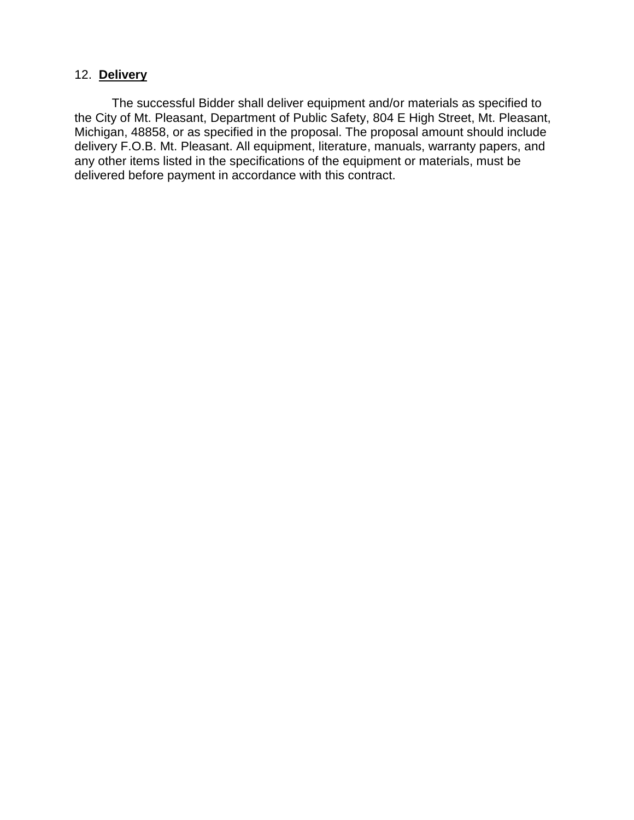#### 12. **Delivery**

The successful Bidder shall deliver equipment and/or materials as specified to the City of Mt. Pleasant, Department of Public Safety, 804 E High Street, Mt. Pleasant, Michigan, 48858, or as specified in the proposal. The proposal amount should include delivery F.O.B. Mt. Pleasant. All equipment, literature, manuals, warranty papers, and any other items listed in the specifications of the equipment or materials, must be delivered before payment in accordance with this contract.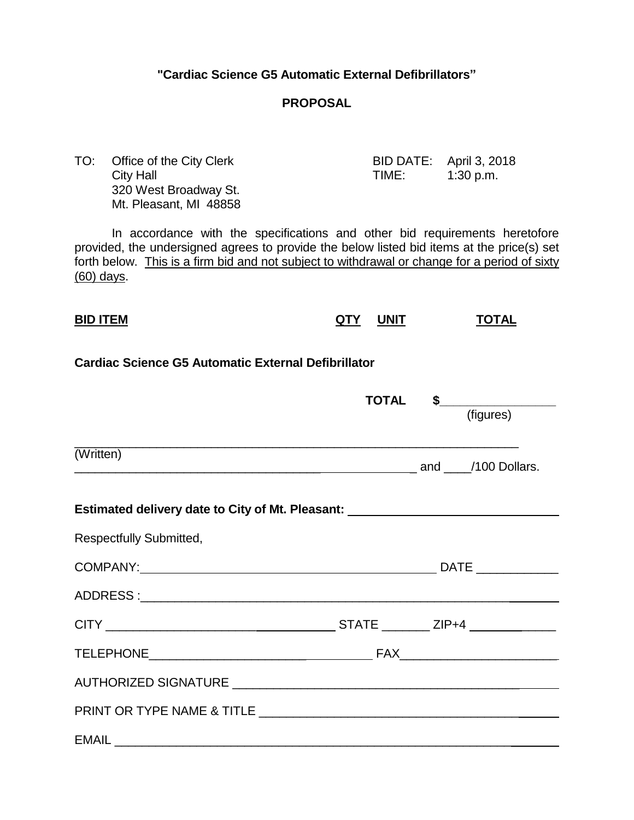#### **"Cardiac Science G5 Automatic External Defibrillators"**

#### **PROPOSAL**

TO: Office of the City Clerk BID DATE: April 3, 2018 City Hall **City Hall City Hall TIME:** 1:30 p.m. 320 West Broadway St. Mt. Pleasant, MI 48858

In accordance with the specifications and other bid requirements heretofore provided, the undersigned agrees to provide the below listed bid items at the price(s) set forth below. This is a firm bid and not subject to withdrawal or change for a period of sixty (60) days.

# **BID ITEM QTY UNIT TOTAL**

#### **Cardiac Science G5 Automatic External Defibrillator**

|                                                                                  |  | TOTAL \$<br>(figures) |
|----------------------------------------------------------------------------------|--|-----------------------|
| (Written)                                                                        |  |                       |
| Estimated delivery date to City of Mt. Pleasant: _______________________________ |  |                       |
| <b>Respectfully Submitted,</b>                                                   |  |                       |
|                                                                                  |  |                       |
|                                                                                  |  |                       |
|                                                                                  |  |                       |
|                                                                                  |  |                       |
|                                                                                  |  |                       |
|                                                                                  |  |                       |
|                                                                                  |  |                       |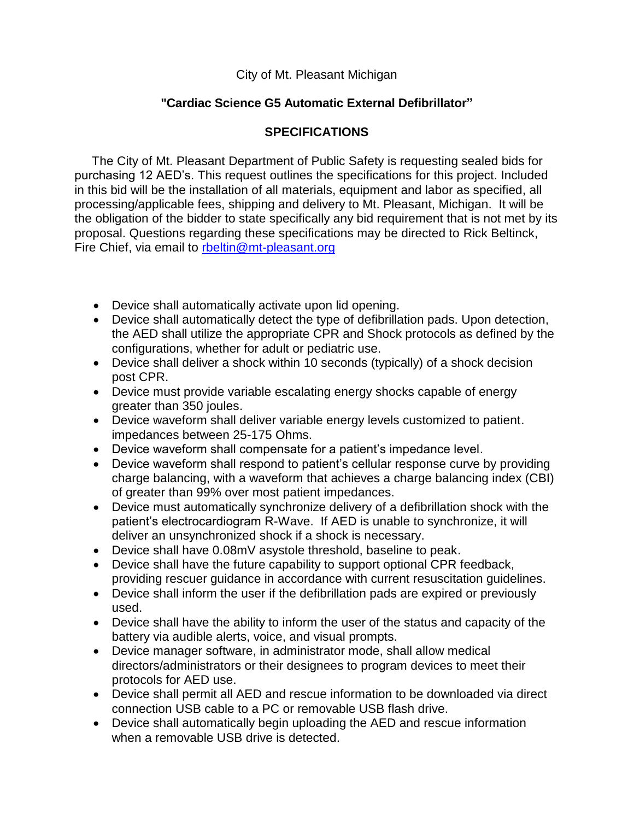#### City of Mt. Pleasant Michigan

## **"Cardiac Science G5 Automatic External Defibrillator"**

## **SPECIFICATIONS**

 The City of Mt. Pleasant Department of Public Safety is requesting sealed bids for purchasing 12 AED's. This request outlines the specifications for this project. Included in this bid will be the installation of all materials, equipment and labor as specified, all processing/applicable fees, shipping and delivery to Mt. Pleasant, Michigan. It will be the obligation of the bidder to state specifically any bid requirement that is not met by its proposal. Questions regarding these specifications may be directed to Rick Beltinck, Fire Chief, via email to [rbeltin@mt-pleasant.org](mailto:rbeltin@mt-pleasant.org)

- Device shall automatically activate upon lid opening.
- Device shall automatically detect the type of defibrillation pads. Upon detection, the AED shall utilize the appropriate CPR and Shock protocols as defined by the configurations, whether for adult or pediatric use.
- Device shall deliver a shock within 10 seconds (typically) of a shock decision post CPR.
- Device must provide variable escalating energy shocks capable of energy greater than 350 joules.
- Device waveform shall deliver variable energy levels customized to patient. impedances between 25-175 Ohms.
- Device waveform shall compensate for a patient's impedance level.
- Device waveform shall respond to patient's cellular response curve by providing charge balancing, with a waveform that achieves a charge balancing index (CBI) of greater than 99% over most patient impedances.
- Device must automatically synchronize delivery of a defibrillation shock with the patient's electrocardiogram R-Wave. If AED is unable to synchronize, it will deliver an unsynchronized shock if a shock is necessary.
- Device shall have 0.08mV asystole threshold, baseline to peak.
- Device shall have the future capability to support optional CPR feedback, providing rescuer guidance in accordance with current resuscitation guidelines.
- Device shall inform the user if the defibrillation pads are expired or previously used.
- Device shall have the ability to inform the user of the status and capacity of the battery via audible alerts, voice, and visual prompts.
- Device manager software, in administrator mode, shall allow medical directors/administrators or their designees to program devices to meet their protocols for AED use.
- Device shall permit all AED and rescue information to be downloaded via direct connection USB cable to a PC or removable USB flash drive.
- Device shall automatically begin uploading the AED and rescue information when a removable USB drive is detected.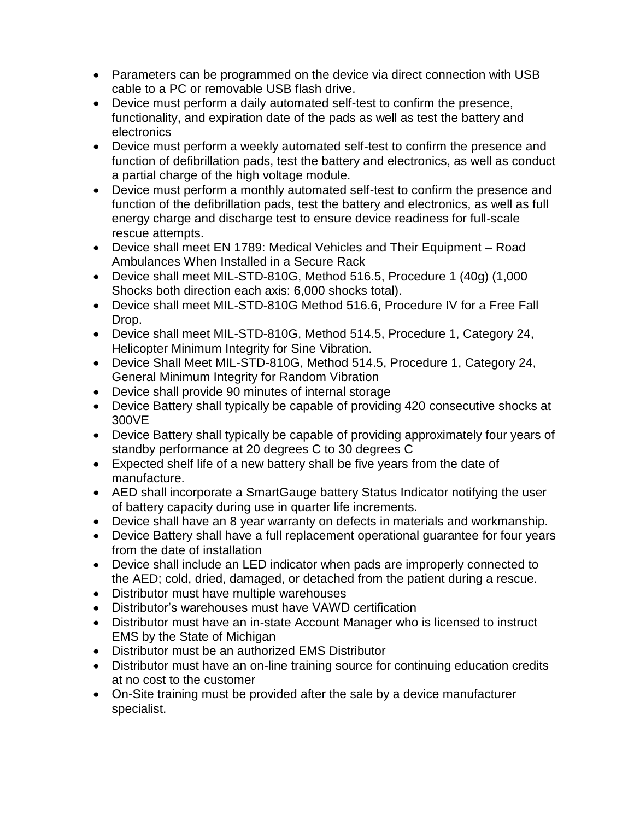- Parameters can be programmed on the device via direct connection with USB cable to a PC or removable USB flash drive.
- Device must perform a daily automated self-test to confirm the presence, functionality, and expiration date of the pads as well as test the battery and electronics
- Device must perform a weekly automated self-test to confirm the presence and function of defibrillation pads, test the battery and electronics, as well as conduct a partial charge of the high voltage module.
- Device must perform a monthly automated self-test to confirm the presence and function of the defibrillation pads, test the battery and electronics, as well as full energy charge and discharge test to ensure device readiness for full-scale rescue attempts.
- Device shall meet EN 1789: Medical Vehicles and Their Equipment Road Ambulances When Installed in a Secure Rack
- Device shall meet MIL-STD-810G, Method 516.5, Procedure 1 (40g) (1,000 Shocks both direction each axis: 6,000 shocks total).
- Device shall meet MIL-STD-810G Method 516.6, Procedure IV for a Free Fall Drop.
- Device shall meet MIL-STD-810G, Method 514.5, Procedure 1, Category 24, Helicopter Minimum Integrity for Sine Vibration.
- Device Shall Meet MIL-STD-810G, Method 514.5, Procedure 1, Category 24, General Minimum Integrity for Random Vibration
- Device shall provide 90 minutes of internal storage
- Device Battery shall typically be capable of providing 420 consecutive shocks at 300VE
- Device Battery shall typically be capable of providing approximately four years of standby performance at 20 degrees C to 30 degrees C
- Expected shelf life of a new battery shall be five years from the date of manufacture.
- AED shall incorporate a SmartGauge battery Status Indicator notifying the user of battery capacity during use in quarter life increments.
- Device shall have an 8 year warranty on defects in materials and workmanship.
- Device Battery shall have a full replacement operational guarantee for four years from the date of installation
- Device shall include an LED indicator when pads are improperly connected to the AED; cold, dried, damaged, or detached from the patient during a rescue.
- Distributor must have multiple warehouses
- Distributor's warehouses must have VAWD certification
- Distributor must have an in-state Account Manager who is licensed to instruct EMS by the State of Michigan
- Distributor must be an authorized EMS Distributor
- Distributor must have an on-line training source for continuing education credits at no cost to the customer
- On-Site training must be provided after the sale by a device manufacturer specialist.